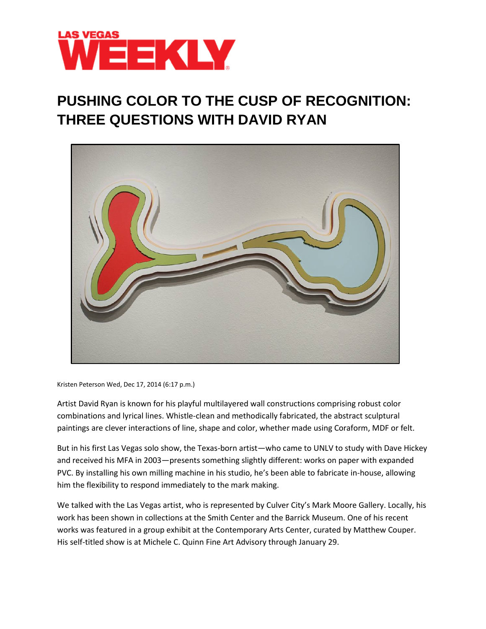

## **PUSHING COLOR TO THE CUSP OF RECOGNITION: THREE QUESTIONS WITH DAVID RYAN**



Kristen Peterson Wed, Dec 17, 2014 (6:17 p.m.)

Artist David Ryan is known for his playful multilayered wall constructions comprising robust color combinations and lyrical lines. Whistle-clean and methodically fabricated, the abstract sculptural paintings are clever interactions of line, shape and color, whether made using Coraform, MDF or felt.

But in his first Las Vegas solo show, the Texas-born artist—who came to UNLV to study with Dave Hickey and received his MFA in 2003—presents something slightly different: works on paper with expanded PVC. By installing his own milling machine in his studio, he's been able to fabricate in-house, allowing him the flexibility to respond immediately to the mark making.

We talked with the Las Vegas artist, who is represented by Culver City's Mark Moore Gallery. Locally, his work has been shown in collections at the Smith Center and the Barrick Museum. One of his recent works was featured in a group exhibit at the Contemporary Arts Center, curated by Matthew Couper. His self-titled show is at Michele C. Quinn Fine Art Advisory through January 29.